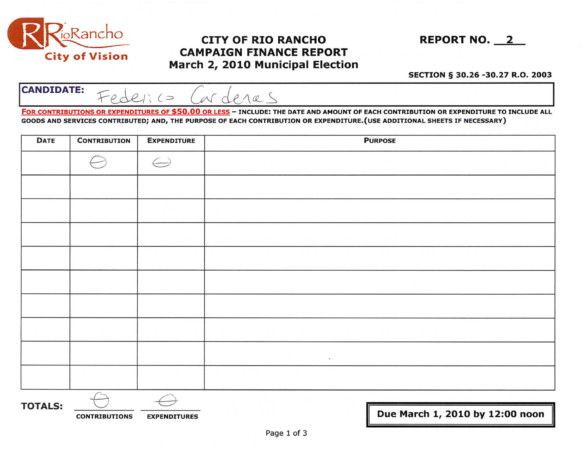

## $\frac{1}{10}$ Rancho **CITY OF RIO RANCHO** REPORT NO. 2 City of Vision CAMPAIGN FINANCE REPORT March 2, 2010 Municipal Election

## SECTION § 30.26 -30.27 R.O. 2003

 $CANDIDATE:$   $F_{\theta}$  derico (or denas

FOR CONTRIBUTIONS OR EXPENDITURES OF \$50.00 OR LESS - INCLUDE: THE DATE AND AMOUNT OF EACH CONTRIBUTION OR EXPENDITURE TO INCLUDE ALL GOODS AND SERVICES CONTRIBUTED; AND, THE PURPOSE OF EACH CONTRIBUTION OR EXPENDITURE.(USE ADDITIONAL SHEETS IF NECESSARY)

| <b>DATE</b>    | <b>CONTRIBUTION</b> | <b>EXPENDITURE</b> | <b>PURPOSE</b>           |  |  |
|----------------|---------------------|--------------------|--------------------------|--|--|
|                |                     | $\hookrightarrow$  |                          |  |  |
|                |                     |                    |                          |  |  |
|                |                     |                    |                          |  |  |
|                |                     |                    |                          |  |  |
|                |                     |                    |                          |  |  |
|                |                     |                    |                          |  |  |
|                |                     |                    |                          |  |  |
|                |                     |                    |                          |  |  |
|                |                     |                    | $\mathcal{F}$ .          |  |  |
|                |                     |                    |                          |  |  |
| <b>TOTALS:</b> |                     |                    | $\overline{\phantom{a}}$ |  |  |

CONTRIBUTIONS EXPENDITURES **EXPENDITURES I** Due March 1, 2010 by 12:00 noon

II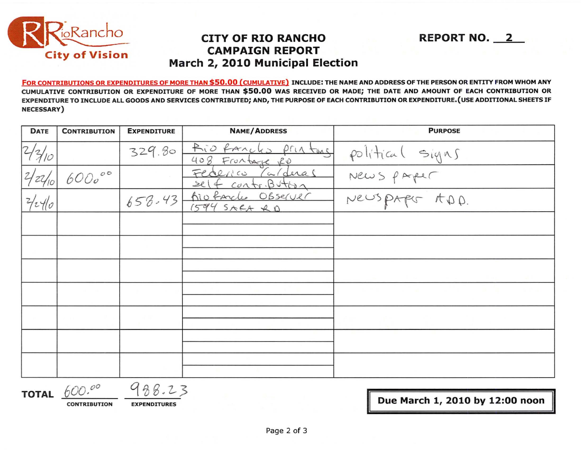

## **CITY OF RIO RANCHO CAMPAIGN REPORT** March 2, 2010 Municipal Election

FOR CONTRIBUTIONS OR EXPENDITURES OF MORE THAN \$50.00 (CUMULATIVE) INCLUDE: THE NAME AND ADDRESS OF THE PERSON OR ENTITY FROM WHOM ANY CUMULATIVE CONTRIBUTION OR EXPENDITURE OF MORE THAN \$50.00 WAS RECEIVED OR MADE; THE DATE AND AMOUNT OF EACH CONTRIBUTION OR EXPENDITURE TO INCLUDE ALL GOODS AND SERVICES CONTRIBUTED; AND, THE PURPOSE OF EACH CONTRIBUTION OR EXPENDITURE. (USE ADDITIONAL SHEETS IF **NECESSARY**)

| <b>DATE</b> | <b>CONTRIBUTION</b> | <b>EXPENDITURE</b> | <b>NAME/ADDRESS</b>                         | <b>PURPOSE</b>                                  |
|-------------|---------------------|--------------------|---------------------------------------------|-------------------------------------------------|
| 7/2/10      |                     | 329.80             | Rio fancho printing<br>408 Frontage RD      |                                                 |
|             | $6000^{\circ}$      |                    | Carderas<br>Federico<br>self contribution   | political signs<br>News paper<br>Newspaper ADD. |
| 2/240       |                     |                    | 658-43 Aiofarche Observer<br>$1594$ SARA RD |                                                 |
|             |                     |                    |                                             |                                                 |
|             |                     |                    |                                             |                                                 |
|             |                     |                    |                                             |                                                 |
|             |                     |                    |                                             |                                                 |
|             |                     |                    |                                             |                                                 |
|             |                     |                    |                                             |                                                 |
|             |                     |                    |                                             |                                                 |

TOTAL  $600.00$ 

988.23

**CONTRIBUTION** 

**EXPENDITURES** 

Due March 1, 2010 by 12:00 noon

**REPORT NO. 2**